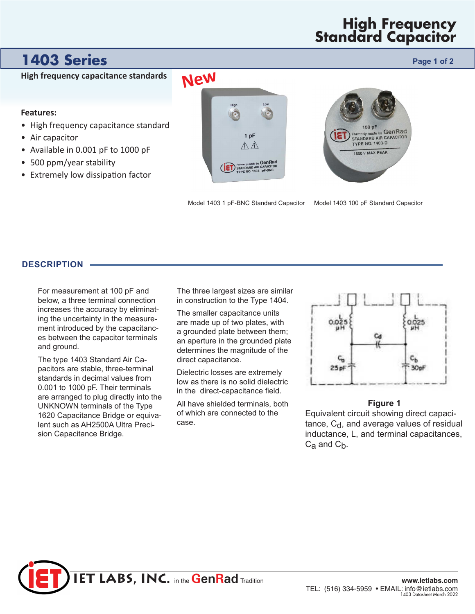## **High Frequency Standard Capacitor**

# **1403 Series Page 1 of 2 Page 1 of 2**

**High frequency capacitance standards**

#### **Features:**

- High frequency capacitance standard
- Air capacitor
- Available in 0.001 pF to 1000 pF
- 500 ppm/year stability
- Extremely low dissipation factor





Model 1403 100 pF Standard Capacitor Model 1403 1 pF-BNC Standard Capacitor

### **DESCRIPTION**

For measurement at 100 pF and below, a three terminal connection increases the accuracy by eliminating the uncertainty in the measurement introduced by the capacitances between the capacitor terminals and ground.

The type 1403 Standard Air Capacitors are stable, three-terminal standards in decimal values from 0.001 to 1000 pF. Their terminals are arranged to plug directly into the UNKNOWN terminals of the Type 1620 Capacitance Bridge or equivalent such as AH2500A Ultra Precision Capacitance Bridge.

The three largest sizes are similar in construction to the Type 1404.

The smaller capacitance units are made up of two plates, with a grounded plate between them; an aperture in the grounded plate determines the magnitude of the direct capacitance.

Dielectric losses are extremely low as there is no solid dielectric in the direct-capacitance field.

All have shielded terminals, both of which are connected to the case.



#### **Figure 1**

Equivalent circuit showing direct capaci $t$ ance,  $C_d$ , and average values of residual inductance, L, and terminal capacitances,  $C_{a}$  and  $C_{b}$ .